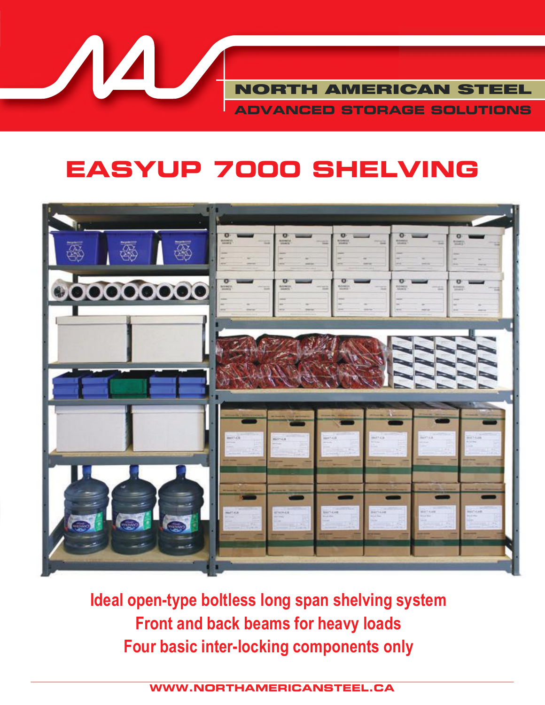**NORTH AMERICAN STEEL ADVANCED STORAGE SOLUTIONS**

# **EASYUP 7000 SHELVING**



**Ideal open-type boltless long span shelving system Front and back beams for heavy loads Four basic inter-locking components only** 

**WWW.NORTHAMERICANSTEEL.CA**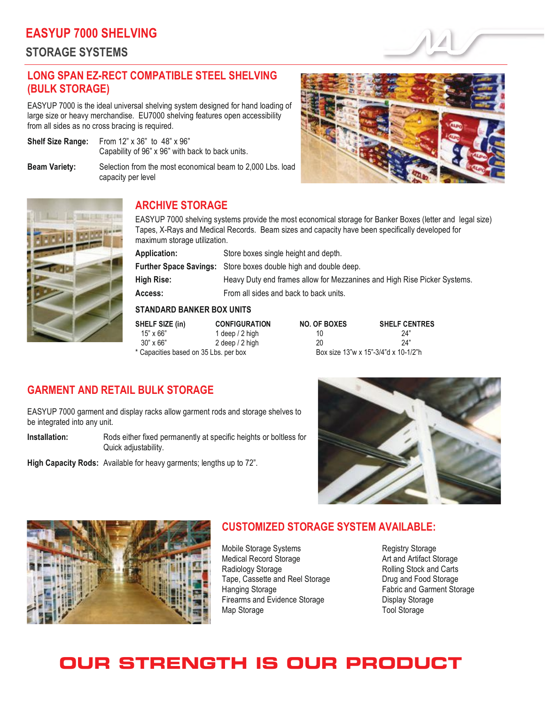# **EASYUP 7000 SHELVING**

**STORAGE SYSTEMS**

# **LONG SPAN EZ-RECT COMPATIBLE STEEL SHELVING (BULK STORAGE)**

EASYUP 7000 is the ideal universal shelving system designed for hand loading of large size or heavy merchandise. EU7000 shelving features open accessibility from all sides as no cross bracing is required.

**Shelf Size Range:** From 12" x 36" to 48" x 96" Capability of 96" x 96" with back to back units.

**Beam Variety:** Selection from the most economical beam to 2,000 Lbs. load capacity per level





## **ARCHIVE STORAGE**

EASYUP 7000 shelving systems provide the most economical storage for Banker Boxes (letter and legal size) Tapes, X-Rays and Medical Records. Beam sizes and capacity have been specifically developed for maximum storage utilization.

**Application:** Store boxes single height and depth.

**Further Space Savings:** Store boxes double high and double deep.

**High Rise:** Heavy Duty end frames allow for Mezzanines and High Rise Picker Systems.

Access: From all sides and back to back units.

 $2$  deep  $/ 2$  high

#### **STANDARD BANKER BOX UNITS**

**SHELF SIZE (in) CONFIGURATION** 15" x 66" 1 deep / 2 high<br>30" x 66" 2 deep / 2 high \* Capacities based on 35 Lbs. per box

| NO. OF BOXES | <b>SHELF CENTRES</b>                 |
|--------------|--------------------------------------|
| 10           | 24"                                  |
| 20           | 24"                                  |
|              | Box size 13"w x 15"-3/4"d x 10-1/2"h |

## **GARMENT AND RETAIL BULK STORAGE**

EASYUP 7000 garment and display racks allow garment rods and storage shelves to be integrated into any unit.

**Installation:** Rods either fixed permanently at specific heights or boltless for Quick adjustability.

**High Capacity Rods:** Available for heavy garments; lengths up to 72".





### **CUSTOMIZED STORAGE SYSTEM AVAILABLE:**

Mobile Storage Systems<br>
Medical Record Storage<br>
Medical Record Storage<br>
Medical Record Storage Medical Record Storage Radiology Storage **Rolling Stock and Carts**<br>
Tape, Cassette and Reel Storage **Rolling Storage Represents** Drug and Food Storage Tape, Cassette and Reel Storage Hanging Storage **Fabric and Garment Storage** Fabric and Garment Storage Firearms and Evidence Storage **Display Storage** Map Storage Tool Storage Tool Storage

# **OUR STRENGTH IS OUR PRODUCT**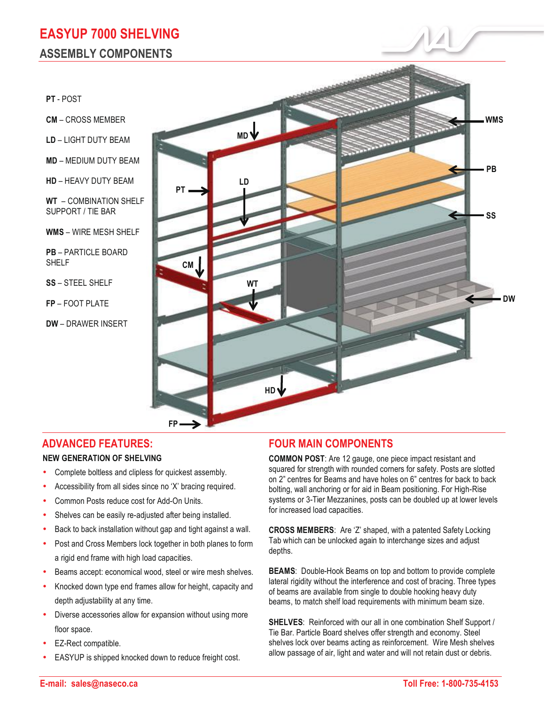**PT** - POST

**CM** – CROSS MEMBER

**LD** – LIGHT DUTY BEAM

**MD** – MEDIUM DUTY BEAM

**HD** – HEAVY DUTY BEAM

**WT** – COMBINATION SHELF SUPPORT / TIE BAR

**WMS** – WIRE MESH SHELF

**PB** – PARTICLE BOARD SHELF

**SS** – STEEL SHELF

**FP** – FOOT PLATE

**DW** – DRAWER INSERT



#### **ADVANCED FEATURES:**

#### **NEW GENERATION OF SHELVING**

- Complete boltless and clipless for quickest assembly.
- Accessibility from all sides since no 'X' bracing required.
- Common Posts reduce cost for Add-On Units.
- Shelves can be easily re-adjusted after being installed.
- Back to back installation without gap and tight against a wall.
- Post and Cross Members lock together in both planes to form a rigid end frame with high load capacities.
- Beams accept: economical wood, steel or wire mesh shelves.
- Knocked down type end frames allow for height, capacity and depth adjustability at any time.
- Diverse accessories allow for expansion without using more floor space.
- EZ-Rect compatible.
- EASYUP is shipped knocked down to reduce freight cost.

## **FOUR MAIN COMPONENTS**

**COMMON POST**: Are 12 gauge, one piece impact resistant and squared for strength with rounded corners for safety. Posts are slotted on 2" centres for Beams and have holes on 6" centres for back to back bolting, wall anchoring or for aid in Beam positioning. For High-Rise systems or 3-Tier Mezzanines, posts can be doubled up at lower levels for increased load capacities.

**CROSS MEMBERS**: Are 'Z' shaped, with a patented Safety Locking Tab which can be unlocked again to interchange sizes and adjust depths.

**BEAMS**: Double-Hook Beams on top and bottom to provide complete lateral rigidity without the interference and cost of bracing. Three types of beams are available from single to double hooking heavy duty beams, to match shelf load requirements with minimum beam size.

**SHELVES**: Reinforced with our all in one combination Shelf Support / Tie Bar. Particle Board shelves offer strength and economy. Steel shelves lock over beams acting as reinforcement. Wire Mesh shelves allow passage of air, light and water and will not retain dust or debris.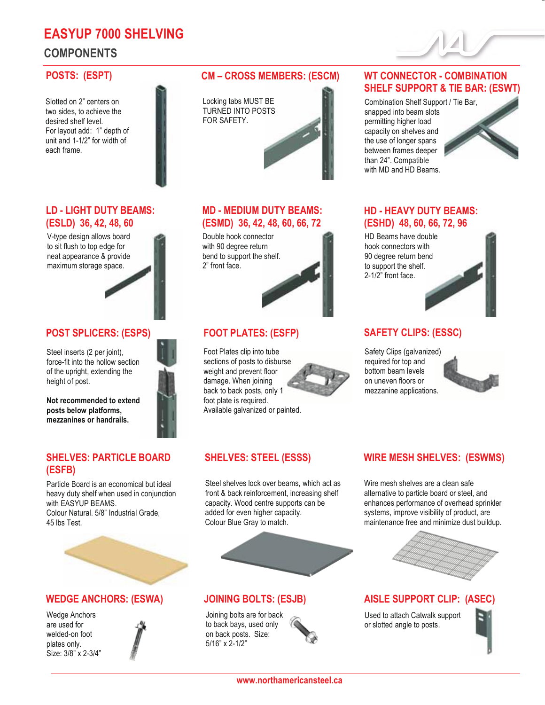# **EASYUP 7000 SHELVING COMPONENTS**

#### **POSTS: (ESPT)**

 Slotted on 2" centers on two sides, to achieve the desired shelf level. For layout add: 1" depth of unit and 1-1/2" for width of each frame.



#### **MD - MEDIUM DUTY BEAMS: (ESMD) 36, 42, 48, 60, 66, 72**

Double hook connector with 90 degree return bend to support the shelf. 2" front face.

### **FOOT PLATES: (ESFP)**

foot plate is required. Foot Plates clip into tube sections of posts to disburse weight and prevent floor damage. When joining back to back posts, only 1 Available galvanized or painted.

### **SHELVES: STEEL (ESSS)**

Steel shelves lock over beams, which act as front & back reinforcement, increasing shelf capacity. Wood centre supports can be added for even higher capacity. Colour Blue Gray to match.

#### **JOINING BOLTS: (ESJB)**

 5/16" x 2-1/2" Joining bolts are for back to back bays, used only on back posts. Size:

#### **WT CONNECTOR - COMBINATION SHELF SUPPORT & TIE BAR: (ESWT)**

 than 24". Compatible Combination Shelf Support / Tie Bar, snapped into beam slots permitting higher load capacity on shelves and the use of longer spans between frames deeper with MD and HD Beams.



## **HD - HEAVY DUTY BEAMS: (ESHD) 48, 60, 66, 72, 96**

HD Beams have double hook connectors with 90 degree return bend to support the shelf. 2-1/2" front face.



#### **SAFETY CLIPS: (ESSC)**

mezzanine applications. Safety Clips (galvanized) required for top and bottom beam levels on uneven floors or



### **WIRE MESH SHELVES: (ESWMS)**

 enhances performance of overhead sprinkler Wire mesh shelves are a clean safe alternative to particle board or steel, and systems, improve visibility of product, are maintenance free and minimize dust buildup.



#### **AISLE SUPPORT CLIP: (ASEC)**

Used to attach Catwalk support or slotted angle to posts.



#### **www.northamericansteel.ca**

#### **LD - LIGHT DUTY BEAMS: (ESLD) 36, 42, 48, 60**

V-type design allows board to sit flush to top edge for neat appearance & provide maximum storage space.



#### **POST SPLICERS: (ESPS)**

Steel inserts (2 per joint), force-fit into the hollow section of the upright, extending the height of post.

**Not recommended to extend posts below platforms, mezzanines or handrails.** 

#### **SHELVES: PARTICLE BOARD (ESFB)**

with EASYUP BEAMS.<br>Colour Natural. 5/8" Industrial Grade, Particle Board is an economical but ideal heavy duty shelf when used in conjunction with EASYUP BEAMS. 45 lbs Test.



#### **WEDGE ANCHORS: (ESWA)**

 Size: 3/8" x 2-3/4" Wedge Anchors are used for welded-on foot plates only.

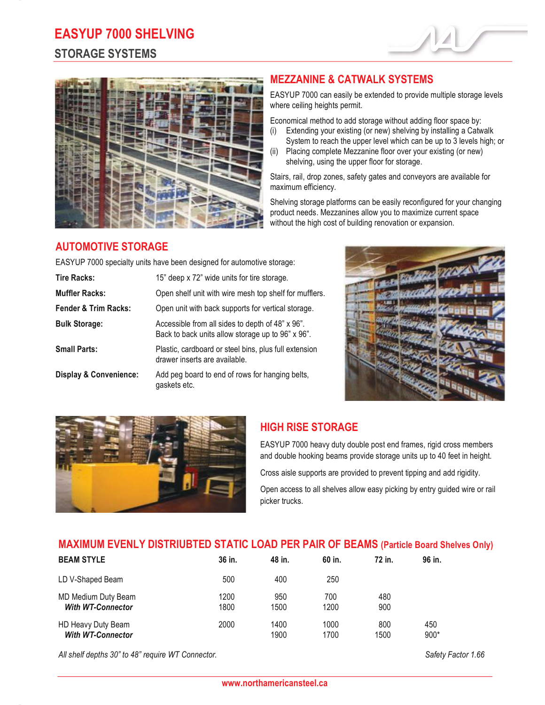# **EASYUP 7000 SHELVING**

# **STORAGE SYSTEMS**





# **MEZZANINE & CATWALK SYSTEMS**

EASYUP 7000 can easily be extended to provide multiple storage levels where ceiling heights permit.

Economical method to add storage without adding floor space by:

- (i) Extending your existing (or new) shelving by installing a Catwalk
- System to reach the upper level which can be up to 3 levels high; or (ii) Placing complete Mezzanine floor over your existing (or new)
- shelving, using the upper floor for storage.

Stairs, rail, drop zones, safety gates and conveyors are available for maximum efficiency.

Shelving storage platforms can be easily reconfigured for your changing product needs. Mezzanines allow you to maximize current space without the high cost of building renovation or expansion.

# **AUTOMOTIVE STORAGE**

EASYUP 7000 specialty units have been designed for automotive storage:

| <b>Tire Racks:</b>                | 15" deep x 72" wide units for tire storage.                                                           |
|-----------------------------------|-------------------------------------------------------------------------------------------------------|
| <b>Muffler Racks:</b>             | Open shelf unit with wire mesh top shelf for mufflers.                                                |
| <b>Fender &amp; Trim Racks:</b>   | Open unit with back supports for vertical storage.                                                    |
| <b>Bulk Storage:</b>              | Accessible from all sides to depth of 48" x 96".<br>Back to back units allow storage up to 96" x 96". |
| <b>Small Parts:</b>               | Plastic, cardboard or steel bins, plus full extension<br>drawer inserts are available.                |
| <b>Display &amp; Convenience:</b> | Add peg board to end of rows for hanging belts,<br>gaskets etc.                                       |





# **HIGH RISE STORAGE**

EASYUP 7000 heavy duty double post end frames, rigid cross members and double hooking beams provide storage units up to 40 feet in height.

Cross aisle supports are provided to prevent tipping and add rigidity.

Open access to all shelves allow easy picking by entry guided wire or rail picker trucks.

### **MAXIMUM EVENLY DISTRIUBTED STATIC LOAD PER PAIR OF BEAMS (Particle Board Shelves Only)**

| <b>BEAM STYLE</b>                               | 36 in.       | 48 in.       | 60 in.       | 72 in.      | 96 in.        |  |
|-------------------------------------------------|--------------|--------------|--------------|-------------|---------------|--|
| LD V-Shaped Beam                                | 500          | 400          | 250          |             |               |  |
| MD Medium Duty Beam<br><b>With WT-Connector</b> | 1200<br>1800 | 950<br>1500  | 700<br>1200  | 480<br>900  |               |  |
| HD Heavy Duty Beam<br><b>With WT-Connector</b>  | 2000         | 1400<br>1900 | 1000<br>1700 | 800<br>1500 | 450<br>$900*$ |  |

*All shelf depths 30" to 48" require WT Connector. Safety Factor 1.66*